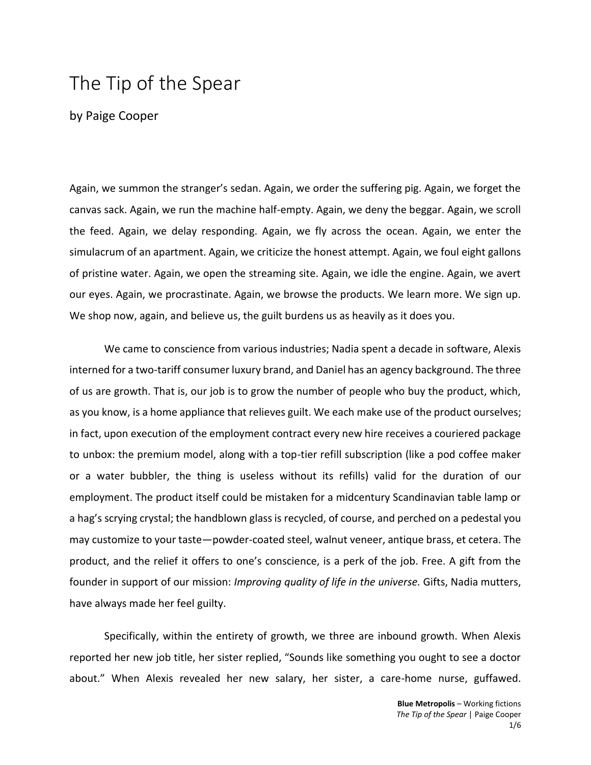## The Tip of the Spear

by Paige Cooper

Again, we summon the stranger's sedan. Again, we order the suffering pig. Again, we forget the canvas sack. Again, we run the machine half-empty. Again, we deny the beggar. Again, we scroll the feed. Again, we delay responding. Again, we fly across the ocean. Again, we enter the simulacrum of an apartment. Again, we criticize the honest attempt. Again, we foul eight gallons of pristine water. Again, we open the streaming site. Again, we idle the engine. Again, we avert our eyes. Again, we procrastinate. Again, we browse the products. We learn more. We sign up. We shop now, again, and believe us, the guilt burdens us as heavily as it does you.

We came to conscience from various industries; Nadia spent a decade in software, Alexis interned for a two-tariff consumer luxury brand, and Daniel has an agency background. The three of us are growth. That is, our job is to grow the number of people who buy the product, which, as you know, is a home appliance that relieves guilt. We each make use of the product ourselves; in fact, upon execution of the employment contract every new hire receives a couriered package to unbox: the premium model, along with a top-tier refill subscription (like a pod coffee maker or a water bubbler, the thing is useless without its refills) valid for the duration of our employment. The product itself could be mistaken for a midcentury Scandinavian table lamp or a hag's scrying crystal; the handblown glass is recycled, of course, and perched on a pedestal you may customize to your taste—powder-coated steel, walnut veneer, antique brass, et cetera. The product, and the relief it offers to one's conscience, is a perk of the job. Free. A gift from the founder in support of our mission: *Improving quality of life in the universe.* Gifts, Nadia mutters, have always made her feel guilty.

Specifically, within the entirety of growth, we three are inbound growth. When Alexis reported her new job title, her sister replied, "Sounds like something you ought to see a doctor about." When Alexis revealed her new salary, her sister, a care-home nurse, guffawed.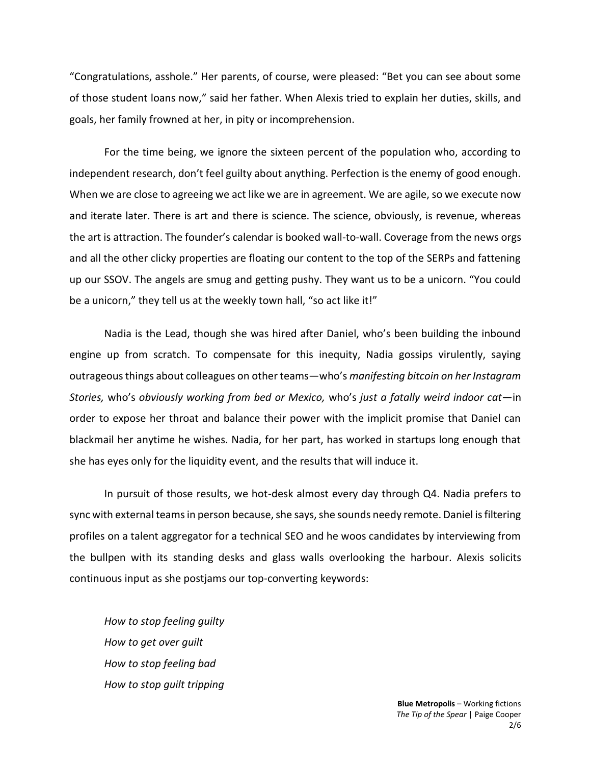"Congratulations, asshole." Her parents, of course, were pleased: "Bet you can see about some of those student loans now," said her father. When Alexis tried to explain her duties, skills, and goals, her family frowned at her, in pity or incomprehension.

For the time being, we ignore the sixteen percent of the population who, according to independent research, don't feel guilty about anything. Perfection is the enemy of good enough. When we are close to agreeing we act like we are in agreement. We are agile, so we execute now and iterate later. There is art and there is science. The science, obviously, is revenue, whereas the art is attraction. The founder's calendar is booked wall-to-wall. Coverage from the news orgs and all the other clicky properties are floating our content to the top of the SERPs and fattening up our SSOV. The angels are smug and getting pushy. They want us to be a unicorn. "You could be a unicorn," they tell us at the weekly town hall, "so act like it!"

Nadia is the Lead, though she was hired after Daniel, who's been building the inbound engine up from scratch. To compensate for this inequity, Nadia gossips virulently, saying outrageous things about colleagues on other teams—who's *manifesting bitcoin on her Instagram Stories,* who's *obviously working from bed or Mexico,* who's *just a fatally weird indoor cat*—in order to expose her throat and balance their power with the implicit promise that Daniel can blackmail her anytime he wishes. Nadia, for her part, has worked in startups long enough that she has eyes only for the liquidity event, and the results that will induce it.

In pursuit of those results, we hot-desk almost every day through Q4. Nadia prefers to sync with external teams in person because, she says, she sounds needy remote. Daniel is filtering profiles on a talent aggregator for a technical SEO and he woos candidates by interviewing from the bullpen with its standing desks and glass walls overlooking the harbour. Alexis solicits continuous input as she postjams our top-converting keywords:

*How to stop feeling guilty How to get over guilt How to stop feeling bad How to stop guilt tripping*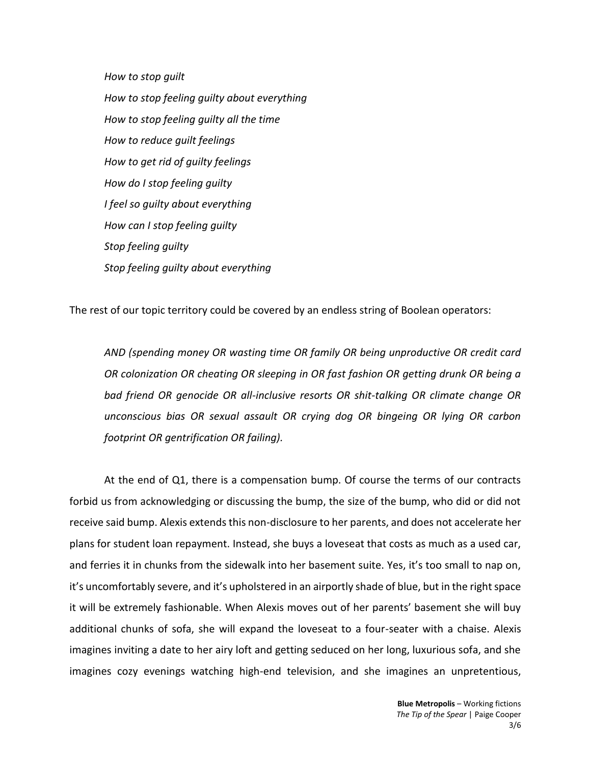*How to stop guilt How to stop feeling guilty about everything How to stop feeling guilty all the time How to reduce guilt feelings How to get rid of guilty feelings How do I stop feeling guilty I feel so guilty about everything How can I stop feeling guilty Stop feeling guilty Stop feeling guilty about everything*

The rest of our topic territory could be covered by an endless string of Boolean operators:

*AND (spending money OR wasting time OR family OR being unproductive OR credit card OR colonization OR cheating OR sleeping in OR fast fashion OR getting drunk OR being a bad friend OR genocide OR all-inclusive resorts OR shit-talking OR climate change OR unconscious bias OR sexual assault OR crying dog OR bingeing OR lying OR carbon footprint OR gentrification OR failing).*

At the end of Q1, there is a compensation bump. Of course the terms of our contracts forbid us from acknowledging or discussing the bump, the size of the bump, who did or did not receive said bump. Alexis extends this non-disclosure to her parents, and does not accelerate her plans for student loan repayment. Instead, she buys a loveseat that costs as much as a used car, and ferries it in chunks from the sidewalk into her basement suite. Yes, it's too small to nap on, it's uncomfortably severe, and it's upholstered in an airportly shade of blue, but in the right space it will be extremely fashionable. When Alexis moves out of her parents' basement she will buy additional chunks of sofa, she will expand the loveseat to a four-seater with a chaise. Alexis imagines inviting a date to her airy loft and getting seduced on her long, luxurious sofa, and she imagines cozy evenings watching high-end television, and she imagines an unpretentious,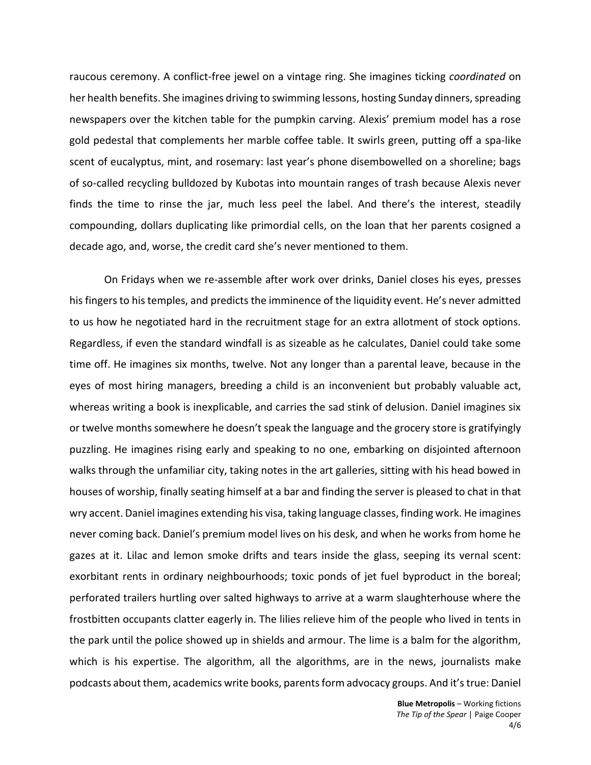raucous ceremony. A conflict-free jewel on a vintage ring. She imagines ticking *coordinated* on her health benefits. She imagines driving to swimming lessons, hosting Sunday dinners, spreading newspapers over the kitchen table for the pumpkin carving. Alexis' premium model has a rose gold pedestal that complements her marble coffee table. It swirls green, putting off a spa-like scent of eucalyptus, mint, and rosemary: last year's phone disembowelled on a shoreline; bags of so-called recycling bulldozed by Kubotas into mountain ranges of trash because Alexis never finds the time to rinse the jar, much less peel the label. And there's the interest, steadily compounding, dollars duplicating like primordial cells, on the loan that her parents cosigned a decade ago, and, worse, the credit card she's never mentioned to them.

On Fridays when we re-assemble after work over drinks, Daniel closes his eyes, presses his fingers to his temples, and predicts the imminence of the liquidity event. He's never admitted to us how he negotiated hard in the recruitment stage for an extra allotment of stock options. Regardless, if even the standard windfall is as sizeable as he calculates, Daniel could take some time off. He imagines six months, twelve. Not any longer than a parental leave, because in the eyes of most hiring managers, breeding a child is an inconvenient but probably valuable act, whereas writing a book is inexplicable, and carries the sad stink of delusion. Daniel imagines six or twelve months somewhere he doesn't speak the language and the grocery store is gratifyingly puzzling. He imagines rising early and speaking to no one, embarking on disjointed afternoon walks through the unfamiliar city, taking notes in the art galleries, sitting with his head bowed in houses of worship, finally seating himself at a bar and finding the server is pleased to chat in that wry accent. Daniel imagines extending his visa, taking language classes, finding work. He imagines never coming back. Daniel's premium model lives on his desk, and when he works from home he gazes at it. Lilac and lemon smoke drifts and tears inside the glass, seeping its vernal scent: exorbitant rents in ordinary neighbourhoods; toxic ponds of jet fuel byproduct in the boreal; perforated trailers hurtling over salted highways to arrive at a warm slaughterhouse where the frostbitten occupants clatter eagerly in. The lilies relieve him of the people who lived in tents in the park until the police showed up in shields and armour. The lime is a balm for the algorithm, which is his expertise. The algorithm, all the algorithms, are in the news, journalists make podcasts about them, academics write books, parents form advocacy groups. And it's true: Daniel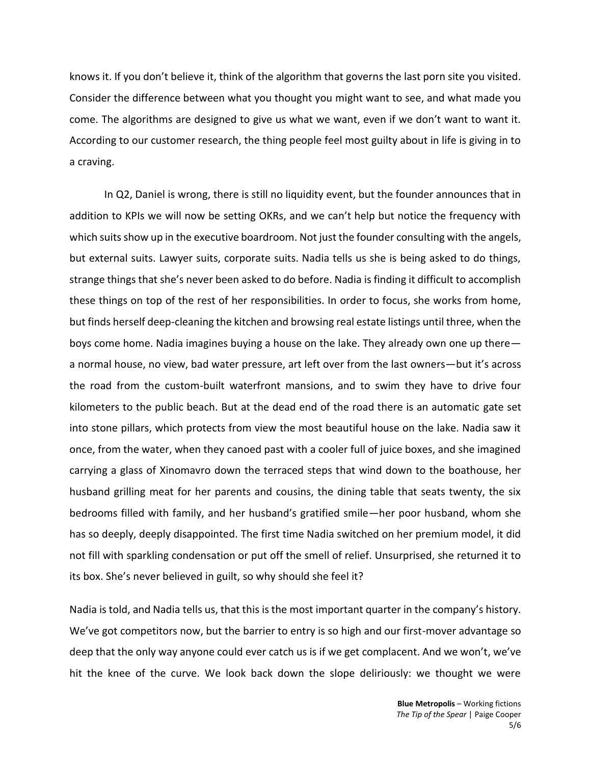knows it. If you don't believe it, think of the algorithm that governs the last porn site you visited. Consider the difference between what you thought you might want to see, and what made you come. The algorithms are designed to give us what we want, even if we don't want to want it. According to our customer research, the thing people feel most guilty about in life is giving in to a craving.

In Q2, Daniel is wrong, there is still no liquidity event, but the founder announces that in addition to KPIs we will now be setting OKRs, and we can't help but notice the frequency with which suits show up in the executive boardroom. Not just the founder consulting with the angels, but external suits. Lawyer suits, corporate suits. Nadia tells us she is being asked to do things, strange things that she's never been asked to do before. Nadia is finding it difficult to accomplish these things on top of the rest of her responsibilities. In order to focus, she works from home, but finds herself deep-cleaning the kitchen and browsing real estate listings until three, when the boys come home. Nadia imagines buying a house on the lake. They already own one up there a normal house, no view, bad water pressure, art left over from the last owners—but it's across the road from the custom-built waterfront mansions, and to swim they have to drive four kilometers to the public beach. But at the dead end of the road there is an automatic gate set into stone pillars, which protects from view the most beautiful house on the lake. Nadia saw it once, from the water, when they canoed past with a cooler full of juice boxes, and she imagined carrying a glass of Xinomavro down the terraced steps that wind down to the boathouse, her husband grilling meat for her parents and cousins, the dining table that seats twenty, the six bedrooms filled with family, and her husband's gratified smile—her poor husband, whom she has so deeply, deeply disappointed. The first time Nadia switched on her premium model, it did not fill with sparkling condensation or put off the smell of relief. Unsurprised, she returned it to its box. She's never believed in guilt, so why should she feel it?

Nadia is told, and Nadia tells us, that this is the most important quarter in the company's history. We've got competitors now, but the barrier to entry is so high and our first-mover advantage so deep that the only way anyone could ever catch us is if we get complacent. And we won't, we've hit the knee of the curve. We look back down the slope deliriously: we thought we were